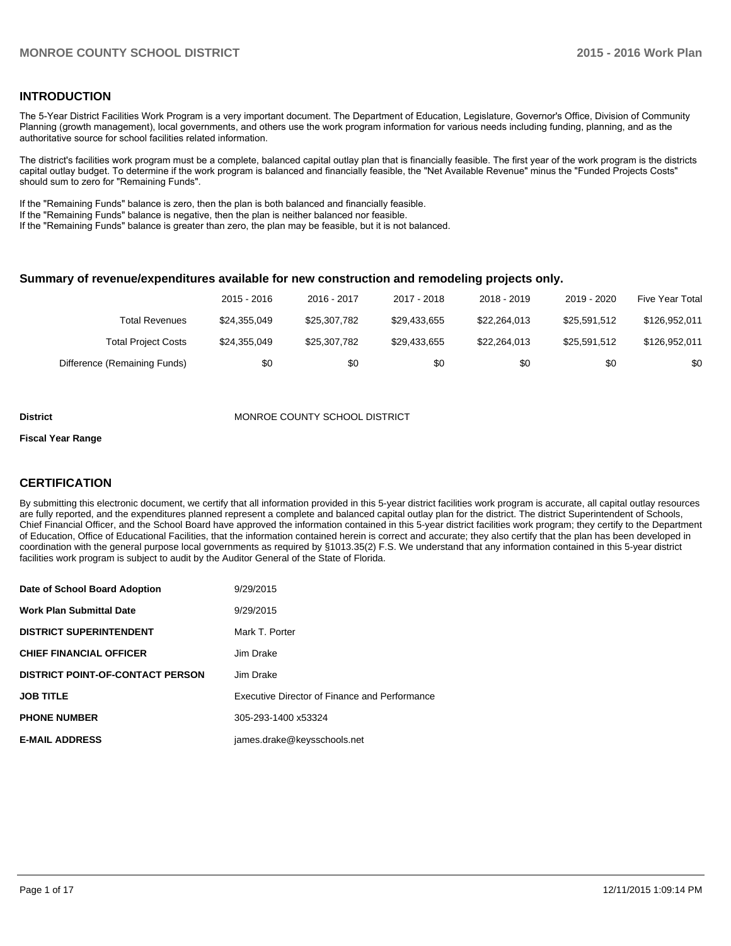#### **INTRODUCTION**

The 5-Year District Facilities Work Program is a very important document. The Department of Education, Legislature, Governor's Office, Division of Community Planning (growth management), local governments, and others use the work program information for various needs including funding, planning, and as the authoritative source for school facilities related information.

The district's facilities work program must be a complete, balanced capital outlay plan that is financially feasible. The first year of the work program is the districts capital outlay budget. To determine if the work program is balanced and financially feasible, the "Net Available Revenue" minus the "Funded Projects Costs" should sum to zero for "Remaining Funds".

If the "Remaining Funds" balance is zero, then the plan is both balanced and financially feasible.

If the "Remaining Funds" balance is negative, then the plan is neither balanced nor feasible.

If the "Remaining Funds" balance is greater than zero, the plan may be feasible, but it is not balanced.

#### **Summary of revenue/expenditures available for new construction and remodeling projects only.**

|                              | 2015 - 2016  | 2016 - 2017  | 2017 - 2018  | 2018 - 2019  | 2019 - 2020  | Five Year Total |
|------------------------------|--------------|--------------|--------------|--------------|--------------|-----------------|
| Total Revenues               | \$24.355.049 | \$25,307,782 | \$29,433,655 | \$22.264.013 | \$25,591,512 | \$126.952.011   |
| <b>Total Project Costs</b>   | \$24.355.049 | \$25,307,782 | \$29.433.655 | \$22,264,013 | \$25,591,512 | \$126.952.011   |
| Difference (Remaining Funds) | \$0          | \$0          | \$0          | \$0          | \$0          | \$0             |

#### **District MONROE COUNTY SCHOOL DISTRICT**

#### **Fiscal Year Range**

#### **CERTIFICATION**

By submitting this electronic document, we certify that all information provided in this 5-year district facilities work program is accurate, all capital outlay resources are fully reported, and the expenditures planned represent a complete and balanced capital outlay plan for the district. The district Superintendent of Schools, Chief Financial Officer, and the School Board have approved the information contained in this 5-year district facilities work program; they certify to the Department of Education, Office of Educational Facilities, that the information contained herein is correct and accurate; they also certify that the plan has been developed in coordination with the general purpose local governments as required by §1013.35(2) F.S. We understand that any information contained in this 5-year district facilities work program is subject to audit by the Auditor General of the State of Florida.

| Date of School Board Adoption           | 9/29/2015                                     |
|-----------------------------------------|-----------------------------------------------|
| <b>Work Plan Submittal Date</b>         | 9/29/2015                                     |
| <b>DISTRICT SUPERINTENDENT</b>          | Mark T. Porter                                |
| <b>CHIEF FINANCIAL OFFICER</b>          | Jim Drake                                     |
| <b>DISTRICT POINT-OF-CONTACT PERSON</b> | Jim Drake                                     |
| <b>JOB TITLE</b>                        | Executive Director of Finance and Performance |
| <b>PHONE NUMBER</b>                     | 305-293-1400 x53324                           |
| <b>E-MAIL ADDRESS</b>                   | james.drake@keysschools.net                   |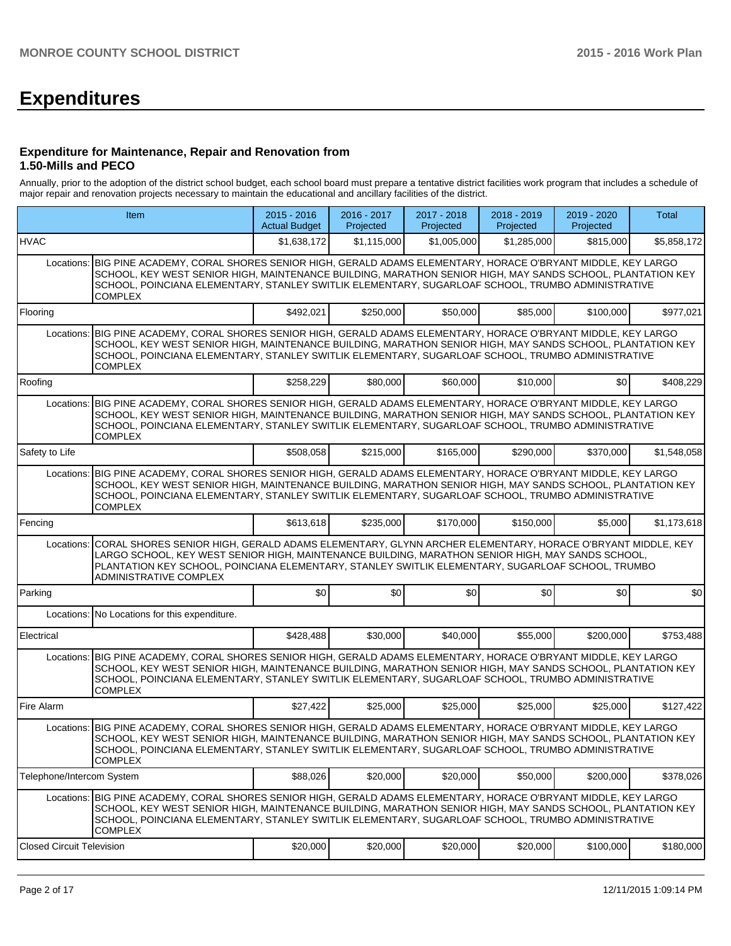# **Expenditures**

#### **Expenditure for Maintenance, Repair and Renovation from 1.50-Mills and PECO**

Annually, prior to the adoption of the district school budget, each school board must prepare a tentative district facilities work program that includes a schedule of major repair and renovation projects necessary to maintain the educational and ancillary facilities of the district.

|                                  | Item                                                                                                                                                                                                                                                                                                                                                   |             | 2016 - 2017<br>Projected | 2017 - 2018<br>Projected | 2018 - 2019<br>Projected | 2019 - 2020<br>Projected | <b>Total</b> |
|----------------------------------|--------------------------------------------------------------------------------------------------------------------------------------------------------------------------------------------------------------------------------------------------------------------------------------------------------------------------------------------------------|-------------|--------------------------|--------------------------|--------------------------|--------------------------|--------------|
| <b>HVAC</b>                      |                                                                                                                                                                                                                                                                                                                                                        | \$1,638,172 | \$1,115,000              | \$1,005,000              | \$1,285,000              | \$815,000                | \$5,858,172  |
| Locations:                       | BIG PINE ACADEMY, CORAL SHORES SENIOR HIGH, GERALD ADAMS ELEMENTARY, HORACE O'BRYANT MIDDLE, KEY LARGO<br>SCHOOL, KEY WEST SENIOR HIGH, MAINTENANCE BUILDING, MARATHON SENIOR HIGH, MAY SANDS SCHOOL, PLANTATION KEY<br>SCHOOL, POINCIANA ELEMENTARY, STANLEY SWITLIK ELEMENTARY, SUGARLOAF SCHOOL, TRUMBO ADMINISTRATIVE<br><b>COMPLEX</b>            |             |                          |                          |                          |                          |              |
| Flooring                         |                                                                                                                                                                                                                                                                                                                                                        | \$492,021   | \$250,000                | \$50,000                 | \$85,000                 | \$100,000                | \$977,021    |
| Locations:                       | BIG PINE ACADEMY, CORAL SHORES SENIOR HIGH, GERALD ADAMS ELEMENTARY, HORACE O'BRYANT MIDDLE, KEY LARGO<br>SCHOOL, KEY WEST SENIOR HIGH, MAINTENANCE BUILDING, MARATHON SENIOR HIGH, MAY SANDS SCHOOL, PLANTATION KEY<br>SCHOOL, POINCIANA ELEMENTARY, STANLEY SWITLIK ELEMENTARY, SUGARLOAF SCHOOL, TRUMBO ADMINISTRATIVE<br><b>COMPLEX</b>            |             |                          |                          |                          |                          |              |
| Roofing                          |                                                                                                                                                                                                                                                                                                                                                        | \$258,229   | \$80,000                 | \$60,000                 | \$10,000                 | \$0                      | \$408,229    |
| Locations:                       | BIG PINE ACADEMY, CORAL SHORES SENIOR HIGH, GERALD ADAMS ELEMENTARY, HORACE O'BRYANT MIDDLE, KEY LARGO<br>SCHOOL, KEY WEST SENIOR HIGH, MAINTENANCE BUILDING, MARATHON SENIOR HIGH, MAY SANDS SCHOOL, PLANTATION KEY<br>SCHOOL, POINCIANA ELEMENTARY, STANLEY SWITLIK ELEMENTARY, SUGARLOAF SCHOOL, TRUMBO ADMINISTRATIVE<br><b>COMPLEX</b>            |             |                          |                          |                          |                          |              |
| Safety to Life                   |                                                                                                                                                                                                                                                                                                                                                        | \$508,058   | \$215,000                | \$165,000                | \$290,000                | \$370,000                | \$1,548,058  |
| Locations:                       | BIG PINE ACADEMY, CORAL SHORES SENIOR HIGH, GERALD ADAMS ELEMENTARY, HORACE O'BRYANT MIDDLE, KEY LARGO<br>SCHOOL, KEY WEST SENIOR HIGH, MAINTENANCE BUILDING, MARATHON SENIOR HIGH, MAY SANDS SCHOOL, PLANTATION KEY<br>SCHOOL, POINCIANA ELEMENTARY, STANLEY SWITLIK ELEMENTARY, SUGARLOAF SCHOOL, TRUMBO ADMINISTRATIVE<br><b>COMPLEX</b>            |             |                          |                          |                          |                          |              |
| Fencing                          |                                                                                                                                                                                                                                                                                                                                                        | \$613,618   | \$235,000                | \$170,000                | \$150,000                | \$5,000                  | \$1,173,618  |
| Locations:                       | CORAL SHORES SENIOR HIGH, GERALD ADAMS ELEMENTARY, GLYNN ARCHER ELEMENTARY, HORACE O'BRYANT MIDDLE, KEY<br>LARGO SCHOOL, KEY WEST SENIOR HIGH, MAINTENANCE BUILDING, MARATHON SENIOR HIGH, MAY SANDS SCHOOL,<br>PLANTATION KEY SCHOOL, POINCIANA ELEMENTARY, STANLEY SWITLIK ELEMENTARY, SUGARLOAF SCHOOL, TRUMBO<br><b>ADMINISTRATIVE COMPLEX</b>     |             |                          |                          |                          |                          |              |
| Parking                          |                                                                                                                                                                                                                                                                                                                                                        | \$0         | \$0                      | \$0                      | \$0                      | \$0                      | \$0          |
|                                  | Locations: No Locations for this expenditure.                                                                                                                                                                                                                                                                                                          |             |                          |                          |                          |                          |              |
| Electrical                       |                                                                                                                                                                                                                                                                                                                                                        | \$428,488   | \$30,000                 | \$40,000                 | \$55,000                 | \$200,000                | \$753,488    |
| Locations:                       | BIG PINE ACADEMY, CORAL SHORES SENIOR HIGH, GERALD ADAMS ELEMENTARY, HORACE O'BRYANT MIDDLE, KEY LARGO<br>SCHOOL, KEY WEST SENIOR HIGH, MAINTENANCE BUILDING, MARATHON SENIOR HIGH, MAY SANDS SCHOOL, PLANTATION KEY<br>SCHOOL, POINCIANA ELEMENTARY, STANLEY SWITLIK ELEMENTARY, SUGARLOAF SCHOOL, TRUMBO ADMINISTRATIVE<br><b>COMPLEX</b>            |             |                          |                          |                          |                          |              |
| Fire Alarm                       |                                                                                                                                                                                                                                                                                                                                                        | \$27,422    | \$25,000                 | \$25,000                 | \$25,000                 | \$25,000                 | \$127,422    |
|                                  | Locations: BIG PINE ACADEMY, CORAL SHORES SENIOR HIGH, GERALD ADAMS ELEMENTARY, HORACE O'BRYANT MIDDLE, KEY LARGO<br>SCHOOL, KEY WEST SENIOR HIGH, MAINTENANCE BUILDING, MARATHON SENIOR HIGH, MAY SANDS SCHOOL, PLANTATION KEY<br>SCHOOL, POINCIANA ELEMENTARY, STANLEY SWITLIK ELEMENTARY, SUGARLOAF SCHOOL, TRUMBO ADMINISTRATIVE<br><b>COMPLEX</b> |             |                          |                          |                          |                          |              |
| Telephone/Intercom System        |                                                                                                                                                                                                                                                                                                                                                        | \$88,026    | \$20,000                 | \$20,000                 | \$50,000                 | \$200,000                | \$378,026    |
| Locations:                       | BIG PINE ACADEMY, CORAL SHORES SENIOR HIGH, GERALD ADAMS ELEMENTARY, HORACE O'BRYANT MIDDLE, KEY LARGO<br>SCHOOL, KEY WEST SENIOR HIGH, MAINTENANCE BUILDING, MARATHON SENIOR HIGH, MAY SANDS SCHOOL, PLANTATION KEY<br>SCHOOL, POINCIANA ELEMENTARY, STANLEY SWITLIK ELEMENTARY, SUGARLOAF SCHOOL, TRUMBO ADMINISTRATIVE<br><b>COMPLEX</b>            |             |                          |                          |                          |                          |              |
| <b>Closed Circuit Television</b> |                                                                                                                                                                                                                                                                                                                                                        | \$20,000    | \$20,000                 | \$20,000                 | \$20,000                 | \$100,000                | \$180,000    |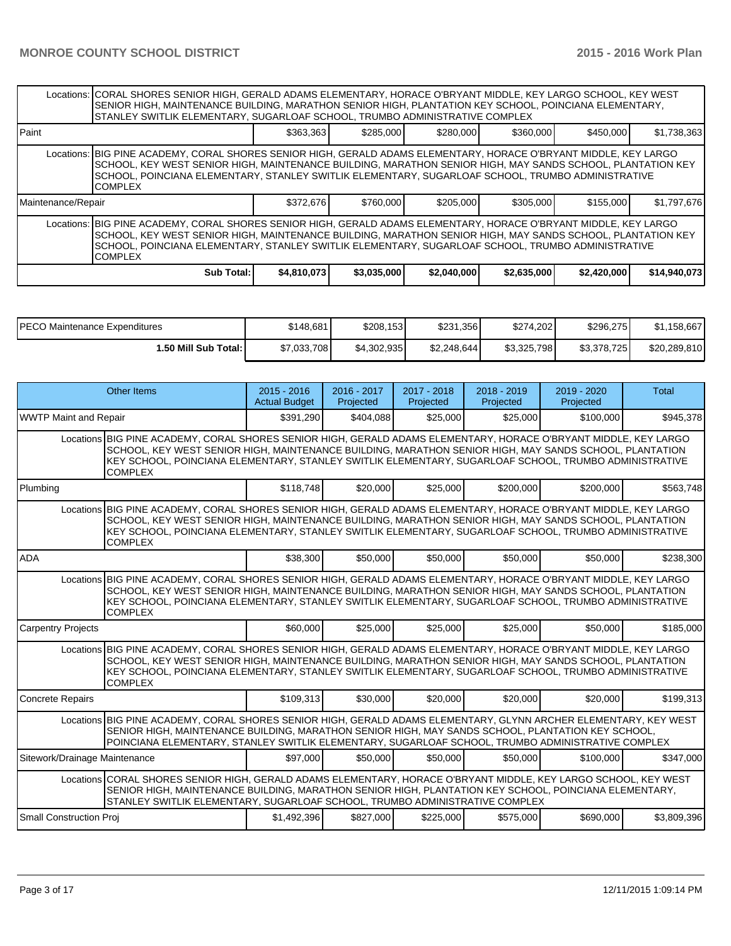|                    | Locations:  CORAL SHORES SENIOR HIGH, GERALD ADAMS ELEMENTARY, HORACE O'BRYANT MIDDLE, KEY LARGO SCHOOL, KEY WEST<br>SENIOR HIGH, MAINTENANCE BUILDING, MARATHON SENIOR HIGH, PLANTATION KEY SCHOOL, POINCIANA ELEMENTARY,<br>STANLEY SWITLIK ELEMENTARY. SUGARLOAF SCHOOL. TRUMBO ADMINISTRATIVE COMPLEX                                                |             |             |             |             |             |              |
|--------------------|----------------------------------------------------------------------------------------------------------------------------------------------------------------------------------------------------------------------------------------------------------------------------------------------------------------------------------------------------------|-------------|-------------|-------------|-------------|-------------|--------------|
| l Paint            |                                                                                                                                                                                                                                                                                                                                                          | \$363.363   | \$285,000   | \$280,000   | \$360,000   | \$450,000   | \$1,738,363  |
|                    | Locations: BIG PINE ACADEMY, CORAL SHORES SENIOR HIGH, GERALD ADAMS ELEMENTARY, HORACE O'BRYANT MIDDLE, KEY LARGO<br>SCHOOL, KEY WEST SENIOR HIGH, MAINTENANCE BUILDING, MARATHON SENIOR HIGH, MAY SANDS SCHOOL, PLANTATION KEY<br>SCHOOL, POINCIANA ELEMENTARY, STANLEY SWITLIK ELEMENTARY, SUGARLOAF SCHOOL, TRUMBO ADMINISTRATIVE<br><b>COMPLEX</b>   |             |             |             |             |             |              |
| Maintenance/Repair |                                                                                                                                                                                                                                                                                                                                                          | \$372.676   | \$760,000   | \$205,000   | \$305,000   | \$155,000   | \$1,797,676  |
|                    | Locations:  BIG PINE ACADEMY, CORAL SHORES SENIOR HIGH, GERALD ADAMS ELEMENTARY, HORACE O'BRYANT MIDDLE, KEY LARGO<br>ISCHOOL, KEY WEST SENIOR HIGH, MAINTENANCE BUILDING, MARATHON SENIOR HIGH, MAY SANDS SCHOOL, PLANTATION KEY<br>SCHOOL, POINCIANA ELEMENTARY, STANLEY SWITLIK ELEMENTARY, SUGARLOAF SCHOOL, TRUMBO ADMINISTRATIVE<br><b>COMPLEX</b> |             |             |             |             |             |              |
|                    | Sub Total:                                                                                                                                                                                                                                                                                                                                               | \$4,810,073 | \$3,035,000 | \$2,040,000 | \$2,635,000 | \$2,420,000 | \$14,940,073 |

| IPECO Maintenance Expenditures | \$148,681   | \$208,153   | \$231,356   | \$274,202   | \$296,275   | \$1,158,667  |
|--------------------------------|-------------|-------------|-------------|-------------|-------------|--------------|
| 1.50 Mill Sub Total: I         | \$7,033,708 | \$4,302,935 | \$2.248.644 | \$3,325,798 | \$3,378,725 | \$20,289,810 |

|                               | Other Items                                                                                                                                                                                                                                                                                                                                           |             | $2016 - 2017$<br>Projected | $2017 - 2018$<br>Projected | $2018 - 2019$<br>Projected | $2019 - 2020$<br>Projected | Total       |
|-------------------------------|-------------------------------------------------------------------------------------------------------------------------------------------------------------------------------------------------------------------------------------------------------------------------------------------------------------------------------------------------------|-------------|----------------------------|----------------------------|----------------------------|----------------------------|-------------|
| <b>WWTP Maint and Repair</b>  |                                                                                                                                                                                                                                                                                                                                                       | \$391.290   | \$404,088                  | \$25,000                   | \$25,000                   | \$100,000                  | \$945,378   |
|                               | Locations BIG PINE ACADEMY, CORAL SHORES SENIOR HIGH, GERALD ADAMS ELEMENTARY, HORACE O'BRYANT MIDDLE, KEY LARGO<br>SCHOOL, KEY WEST SENIOR HIGH, MAINTENANCE BUILDING, MARATHON SENIOR HIGH, MAY SANDS SCHOOL, PLANTATION<br>KEY SCHOOL, POINCIANA ELEMENTARY, STANLEY SWITLIK ELEMENTARY, SUGARLOAF SCHOOL, TRUMBO ADMINISTRATIVE<br><b>COMPLEX</b> |             |                            |                            |                            |                            |             |
| Plumbing                      |                                                                                                                                                                                                                                                                                                                                                       | \$118,748   | \$20,000                   | \$25,000                   | \$200,000                  | \$200,000                  | \$563,748   |
|                               | Locations BIG PINE ACADEMY, CORAL SHORES SENIOR HIGH, GERALD ADAMS ELEMENTARY, HORACE O'BRYANT MIDDLE, KEY LARGO<br>SCHOOL, KEY WEST SENIOR HIGH, MAINTENANCE BUILDING, MARATHON SENIOR HIGH, MAY SANDS SCHOOL, PLANTATION<br>KEY SCHOOL, POINCIANA ELEMENTARY, STANLEY SWITLIK ELEMENTARY, SUGARLOAF SCHOOL, TRUMBO ADMINISTRATIVE<br><b>COMPLEX</b> |             |                            |                            |                            |                            |             |
| <b>ADA</b>                    |                                                                                                                                                                                                                                                                                                                                                       | \$38,300    | \$50,000                   | \$50,000                   | \$50,000                   | \$50,000                   | \$238,300   |
|                               | Locations BIG PINE ACADEMY, CORAL SHORES SENIOR HIGH, GERALD ADAMS ELEMENTARY, HORACE O'BRYANT MIDDLE, KEY LARGO<br>SCHOOL, KEY WEST SENIOR HIGH, MAINTENANCE BUILDING, MARATHON SENIOR HIGH, MAY SANDS SCHOOL, PLANTATION<br>KEY SCHOOL, POINCIANA ELEMENTARY, STANLEY SWITLIK ELEMENTARY, SUGARLOAF SCHOOL, TRUMBO ADMINISTRATIVE<br><b>COMPLEX</b> |             |                            |                            |                            |                            |             |
| <b>Carpentry Projects</b>     |                                                                                                                                                                                                                                                                                                                                                       | \$60,000    | \$25,000                   | \$25,000                   | \$25,000                   | \$50,000                   | \$185,000   |
|                               | Locations BIG PINE ACADEMY, CORAL SHORES SENIOR HIGH, GERALD ADAMS ELEMENTARY, HORACE O'BRYANT MIDDLE, KEY LARGO<br>SCHOOL, KEY WEST SENIOR HIGH, MAINTENANCE BUILDING, MARATHON SENIOR HIGH, MAY SANDS SCHOOL, PLANTATION<br>KEY SCHOOL, POINCIANA ELEMENTARY, STANLEY SWITLIK ELEMENTARY, SUGARLOAF SCHOOL, TRUMBO ADMINISTRATIVE<br><b>COMPLEX</b> |             |                            |                            |                            |                            |             |
| <b>Concrete Repairs</b>       |                                                                                                                                                                                                                                                                                                                                                       | \$109,313   | \$30,000                   | \$20,000                   | \$20,000                   | \$20,000                   | \$199,313   |
|                               | Locations BIG PINE ACADEMY, CORAL SHORES SENIOR HIGH, GERALD ADAMS ELEMENTARY, GLYNN ARCHER ELEMENTARY, KEY WEST<br>SENIOR HIGH, MAINTENANCE BUILDING, MARATHON SENIOR HIGH, MAY SANDS SCHOOL, PLANTATION KEY SCHOOL,<br>POINCIANA ELEMENTARY, STANLEY SWITLIK ELEMENTARY, SUGARLOAF SCHOOL, TRUMBO ADMINISTRATIVE COMPLEX                            |             |                            |                            |                            |                            |             |
| Sitework/Drainage Maintenance |                                                                                                                                                                                                                                                                                                                                                       | \$97,000    | \$50,000                   | \$50,000                   | \$50,000                   | \$100,000                  | \$347,000   |
|                               | Locations CORAL SHORES SENIOR HIGH, GERALD ADAMS ELEMENTARY, HORACE O'BRYANT MIDDLE, KEY LARGO SCHOOL, KEY WEST<br>SENIOR HIGH, MAINTENANCE BUILDING, MARATHON SENIOR HIGH, PLANTATION KEY SCHOOL, POINCIANA ELEMENTARY,<br>STANLEY SWITLIK ELEMENTARY, SUGARLOAF SCHOOL, TRUMBO ADMINISTRATIVE COMPLEX                                               |             |                            |                            |                            |                            |             |
| Small Construction Proj       |                                                                                                                                                                                                                                                                                                                                                       | \$1,492,396 | \$827,000                  | \$225,000                  | \$575,000                  | \$690,000                  | \$3,809,396 |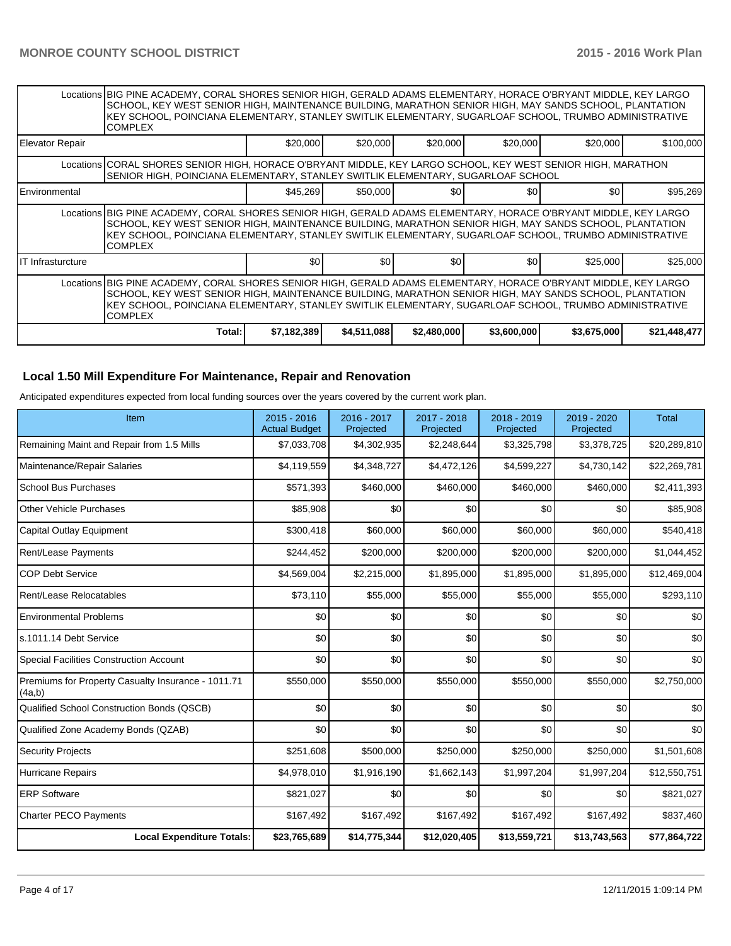|                        | Locations BIG PINE ACADEMY, CORAL SHORES SENIOR HIGH, GERALD ADAMS ELEMENTARY, HORACE O'BRYANT MIDDLE, KEY LARGO<br>SCHOOL, KEY WEST SENIOR HIGH, MAINTENANCE BUILDING, MARATHON SENIOR HIGH, MAY SANDS SCHOOL, PLANTATION<br>KEY SCHOOL, POINCIANA ELEMENTARY, STANLEY SWITLIK ELEMENTARY, SUGARLOAF SCHOOL, TRUMBO ADMINISTRATIVE<br><b>COMPLEX</b> |                  |             |                  |                  |             |              |
|------------------------|-------------------------------------------------------------------------------------------------------------------------------------------------------------------------------------------------------------------------------------------------------------------------------------------------------------------------------------------------------|------------------|-------------|------------------|------------------|-------------|--------------|
| Elevator Repair        |                                                                                                                                                                                                                                                                                                                                                       | \$20,000         | \$20,000    | \$20,000         | \$20,000         | \$20,000    | \$100,000    |
|                        | Locations   CORAL SHORES SENIOR HIGH, HORACE O'BRYANT MIDDLE, KEY LARGO SCHOOL, KEY WEST SENIOR HIGH, MARATHON<br>SENIOR HIGH, POINCIANA ELEMENTARY, STANLEY SWITLIK ELEMENTARY, SUGARLOAF SCHOOL                                                                                                                                                     |                  |             |                  |                  |             |              |
| <b>I</b> Environmental |                                                                                                                                                                                                                                                                                                                                                       | \$45,269         | \$50,000    | \$0              | \$0              | \$01        | \$95,269     |
|                        | Locations BIG PINE ACADEMY, CORAL SHORES SENIOR HIGH, GERALD ADAMS ELEMENTARY, HORACE O'BRYANT MIDDLE, KEY LARGO<br>SCHOOL, KEY WEST SENIOR HIGH, MAINTENANCE BUILDING, MARATHON SENIOR HIGH, MAY SANDS SCHOOL, PLANTATION<br>KEY SCHOOL, POINCIANA ELEMENTARY, STANLEY SWITLIK ELEMENTARY, SUGARLOAF SCHOOL, TRUMBO ADMINISTRATIVE<br><b>COMPLEX</b> |                  |             |                  |                  |             |              |
| IIT Infrasturcture     |                                                                                                                                                                                                                                                                                                                                                       | \$0 <sub>1</sub> | \$0         | \$0 <sub>1</sub> | \$0 <sub>1</sub> | \$25,000    | \$25,000     |
|                        | Locations BIG PINE ACADEMY, CORAL SHORES SENIOR HIGH, GERALD ADAMS ELEMENTARY, HORACE O'BRYANT MIDDLE, KEY LARGO<br>SCHOOL, KEY WEST SENIOR HIGH, MAINTENANCE BUILDING, MARATHON SENIOR HIGH, MAY SANDS SCHOOL, PLANTATION<br>KEY SCHOOL, POINCIANA ELEMENTARY, STANLEY SWITLIK ELEMENTARY, SUGARLOAF SCHOOL, TRUMBO ADMINISTRATIVE<br><b>COMPLEX</b> |                  |             |                  |                  |             |              |
|                        | Total:                                                                                                                                                                                                                                                                                                                                                | \$7,182,389      | \$4,511,088 | \$2,480,000      | \$3,600,000      | \$3,675,000 | \$21,448,477 |

#### **Local 1.50 Mill Expenditure For Maintenance, Repair and Renovation**

Anticipated expenditures expected from local funding sources over the years covered by the current work plan.

| Item                                                         | 2015 - 2016<br><b>Actual Budget</b> | 2016 - 2017<br>Projected | 2017 - 2018<br>Projected | 2018 - 2019<br>Projected | 2019 - 2020<br>Projected | <b>Total</b> |
|--------------------------------------------------------------|-------------------------------------|--------------------------|--------------------------|--------------------------|--------------------------|--------------|
| Remaining Maint and Repair from 1.5 Mills                    | \$7,033,708                         | \$4,302,935              | \$2,248,644              | \$3,325,798              | \$3,378,725              | \$20,289,810 |
| Maintenance/Repair Salaries                                  | \$4,119,559                         | \$4,348,727              | \$4,472,126              | \$4,599,227              | \$4,730,142              | \$22,269,781 |
| <b>School Bus Purchases</b>                                  | \$571,393                           | \$460,000                | \$460,000                | \$460,000                | \$460,000                | \$2,411,393  |
| <b>Other Vehicle Purchases</b>                               | \$85,908                            | \$0                      | \$0                      | \$0                      | \$0                      | \$85,908     |
| Capital Outlay Equipment                                     | \$300,418                           | \$60,000                 | \$60,000                 | \$60,000                 | \$60,000                 | \$540,418    |
| Rent/Lease Payments                                          | \$244,452                           | \$200,000                | \$200,000                | \$200,000                | \$200,000                | \$1,044,452  |
| <b>COP Debt Service</b>                                      | \$4,569,004                         | \$2,215,000              | \$1,895,000              | \$1,895,000              | \$1,895,000              | \$12,469,004 |
| Rent/Lease Relocatables                                      | \$73,110                            | \$55,000                 | \$55,000                 | \$55,000                 | \$55,000                 | \$293,110    |
| <b>Environmental Problems</b>                                | \$0                                 | \$0                      | \$0                      | \$0                      | \$0                      | \$0          |
| s.1011.14 Debt Service                                       | \$0                                 | \$0                      | \$0                      | \$0                      | \$0                      | \$0          |
| <b>Special Facilities Construction Account</b>               | \$0                                 | \$0                      | \$0                      | \$0                      | \$0                      | \$0          |
| Premiums for Property Casualty Insurance - 1011.71<br>(4a,b) | \$550,000                           | \$550,000                | \$550,000                | \$550,000                | \$550,000                | \$2,750,000  |
| Qualified School Construction Bonds (QSCB)                   | \$0                                 | \$0                      | \$0                      | \$0                      | \$0                      | \$0          |
| Qualified Zone Academy Bonds (QZAB)                          | \$0                                 | \$0                      | \$0                      | \$0                      | \$0                      | \$0          |
| <b>Security Projects</b>                                     | \$251,608                           | \$500,000                | \$250,000                | \$250,000                | \$250,000                | \$1,501,608  |
| Hurricane Repairs                                            | \$4,978,010                         | \$1,916,190              | \$1,662,143              | \$1,997,204              | \$1,997,204              | \$12,550,751 |
| <b>ERP Software</b>                                          | \$821,027                           | \$0                      | \$0                      | \$0                      | \$0                      | \$821,027    |
| <b>Charter PECO Payments</b>                                 | \$167,492                           | \$167,492                | \$167,492                | \$167,492                | \$167,492                | \$837,460    |
| <b>Local Expenditure Totals:</b>                             | \$23,765,689                        | \$14,775,344             | \$12,020,405             | \$13,559,721             | \$13,743,563             | \$77,864,722 |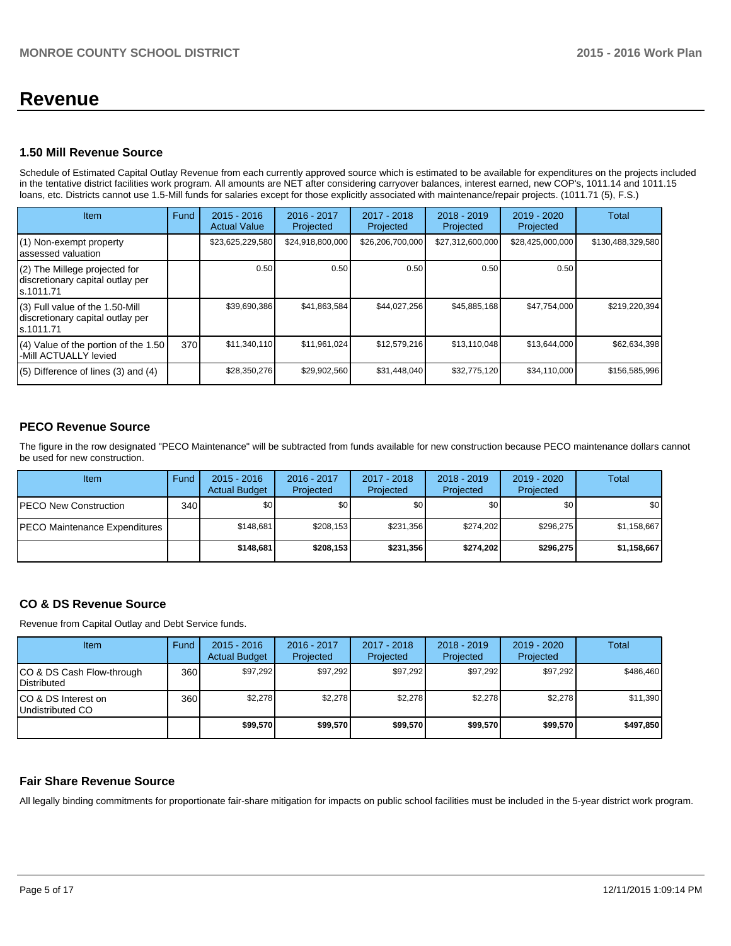## **Revenue**

#### **1.50 Mill Revenue Source**

Schedule of Estimated Capital Outlay Revenue from each currently approved source which is estimated to be available for expenditures on the projects included in the tentative district facilities work program. All amounts are NET after considering carryover balances, interest earned, new COP's, 1011.14 and 1011.15 loans, etc. Districts cannot use 1.5-Mill funds for salaries except for those explicitly associated with maintenance/repair projects. (1011.71 (5), F.S.)

| Item                                                                              | Fund | $2015 - 2016$<br><b>Actual Value</b> | $2016 - 2017$<br>Projected | $2017 - 2018$<br>Projected | $2018 - 2019$<br>Projected | $2019 - 2020$<br>Projected | Total             |
|-----------------------------------------------------------------------------------|------|--------------------------------------|----------------------------|----------------------------|----------------------------|----------------------------|-------------------|
| (1) Non-exempt property<br>assessed valuation                                     |      | \$23,625,229,580                     | \$24,918,800,000           | \$26,206,700,000           | \$27,312,600,000           | \$28,425,000,000           | \$130,488,329,580 |
| (2) The Millege projected for<br>discretionary capital outlay per<br>s.1011.71    |      | 0.50                                 | 0.50                       | 0.50                       | 0.50                       | 0.50                       |                   |
| (3) Full value of the 1.50-Mill<br>discretionary capital outlay per<br>ls.1011.71 |      | \$39,690,386                         | \$41,863,584               | \$44,027,256               | \$45,885,168               | \$47,754,000               | \$219,220,394     |
| (4) Value of the portion of the 1.50<br>-Mill ACTUALLY levied                     | 370  | \$11,340,110                         | \$11,961,024               | \$12,579,216               | \$13,110,048               | \$13,644,000               | \$62,634,398      |
| $(5)$ Difference of lines $(3)$ and $(4)$                                         |      | \$28,350,276                         | \$29,902,560               | \$31,448,040               | \$32,775,120               | \$34,110,000               | \$156,585,996     |

## **PECO Revenue Source**

The figure in the row designated "PECO Maintenance" will be subtracted from funds available for new construction because PECO maintenance dollars cannot be used for new construction.

| Item                                  | Fund  | $2015 - 2016$<br><b>Actual Budget</b> | 2016 - 2017<br>Projected | 2017 - 2018<br>Projected | $2018 - 2019$<br>Projected | $2019 - 2020$<br>Projected | Total       |
|---------------------------------------|-------|---------------------------------------|--------------------------|--------------------------|----------------------------|----------------------------|-------------|
| <b>PECO New Construction</b>          | 340 l | \$0                                   | \$0                      | \$0 <sub>1</sub>         | \$0 <sub>0</sub>           | \$0                        | \$0         |
| <b>IPECO Maintenance Expenditures</b> |       | \$148.681                             | \$208,153                | \$231.356                | \$274.202                  | \$296.275                  | \$1,158,667 |
|                                       |       | \$148.681                             | \$208.153                | \$231.356                | \$274.2021                 | \$296.275                  | \$1,158,667 |

## **CO & DS Revenue Source**

Revenue from Capital Outlay and Debt Service funds.

| <b>Item</b>                                        | Fund | $2015 - 2016$<br><b>Actual Budget</b> | $2016 - 2017$<br>Projected | $2017 - 2018$<br>Projected | $2018 - 2019$<br>Projected | $2019 - 2020$<br>Projected | Total     |
|----------------------------------------------------|------|---------------------------------------|----------------------------|----------------------------|----------------------------|----------------------------|-----------|
| ICO & DS Cash Flow-through<br><b>I</b> Distributed | 360  | \$97.292                              | \$97.292                   | \$97.292                   | \$97.292                   | \$97,292                   | \$486,460 |
| ICO & DS Interest on<br>Undistributed CO           | 360  | \$2,278                               | \$2,278                    | \$2,278                    | \$2.278                    | \$2,278                    | \$11,390  |
|                                                    |      | \$99,570                              | \$99.570                   | \$99,570                   | \$99,570                   | \$99,570                   | \$497,850 |

#### **Fair Share Revenue Source**

All legally binding commitments for proportionate fair-share mitigation for impacts on public school facilities must be included in the 5-year district work program.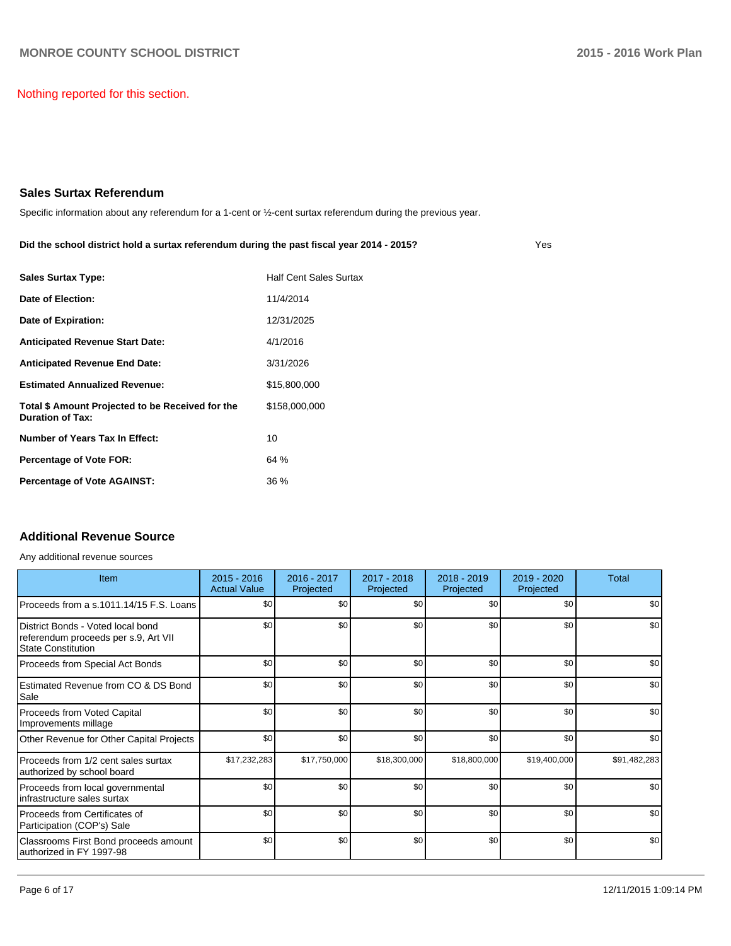Nothing reported for this section.

### **Sales Surtax Referendum**

Specific information about any referendum for a 1-cent or ½-cent surtax referendum during the previous year.

| Did the school district hold a surtax referendum during the past fiscal year 2014 - 2015? |  |
|-------------------------------------------------------------------------------------------|--|
|-------------------------------------------------------------------------------------------|--|

| <b>Sales Surtax Type:</b>                                                   | <b>Half Cent Sales Surtax</b> |
|-----------------------------------------------------------------------------|-------------------------------|
| Date of Election:                                                           | 11/4/2014                     |
| Date of Expiration:                                                         | 12/31/2025                    |
| <b>Anticipated Revenue Start Date:</b>                                      | 4/1/2016                      |
| <b>Anticipated Revenue End Date:</b>                                        | 3/31/2026                     |
| <b>Estimated Annualized Revenue:</b>                                        | \$15,800,000                  |
| Total \$ Amount Projected to be Received for the<br><b>Duration of Tax:</b> | \$158,000,000                 |
| Number of Years Tax In Effect:                                              | 10                            |
| <b>Percentage of Vote FOR:</b>                                              | 64 %                          |
| <b>Percentage of Vote AGAINST:</b>                                          | 36 %                          |

## **Additional Revenue Source**

Any additional revenue sources

| Item                                                                                              | $2015 - 2016$<br><b>Actual Value</b> | 2016 - 2017<br>Projected | 2017 - 2018<br>Projected | $2018 - 2019$<br>Projected | 2019 - 2020<br>Projected | Total        |
|---------------------------------------------------------------------------------------------------|--------------------------------------|--------------------------|--------------------------|----------------------------|--------------------------|--------------|
| IProceeds from a s.1011.14/15 F.S. Loans                                                          | \$0                                  | \$0                      | \$0                      | \$0                        | \$0                      | \$0          |
| l District Bonds - Voted local bond<br>referendum proceeds per s.9, Art VII<br>State Constitution | \$0                                  | \$0                      | \$0                      | \$0                        | \$0                      | \$0          |
| Proceeds from Special Act Bonds                                                                   | \$0                                  | \$0                      | \$0                      | \$0                        | \$0                      | \$0          |
| Estimated Revenue from CO & DS Bond<br><b>Sale</b>                                                | \$0                                  | \$0                      | \$0                      | \$0                        | \$0                      | \$0          |
| Proceeds from Voted Capital<br>Improvements millage                                               | \$0                                  | \$0                      | \$0                      | \$0                        | \$0                      | \$0          |
| Other Revenue for Other Capital Projects                                                          | \$0                                  | \$0                      | \$0                      | \$0                        | \$0                      | \$0          |
| Proceeds from 1/2 cent sales surtax<br>authorized by school board                                 | \$17,232,283                         | \$17,750,000             | \$18,300,000             | \$18,800,000               | \$19,400,000             | \$91,482,283 |
| Proceeds from local governmental<br>Iinfrastructure sales surtax                                  | \$0                                  | \$0                      | \$0                      | \$0                        | \$0                      | \$0          |
| Proceeds from Certificates of<br>Participation (COP's) Sale                                       | \$0                                  | \$0                      | \$0                      | \$0                        | \$0                      | \$0          |
| Classrooms First Bond proceeds amount<br>lauthorized in FY 1997-98                                | \$0                                  | \$0                      | \$0                      | \$0                        | \$0                      | \$0          |

Yes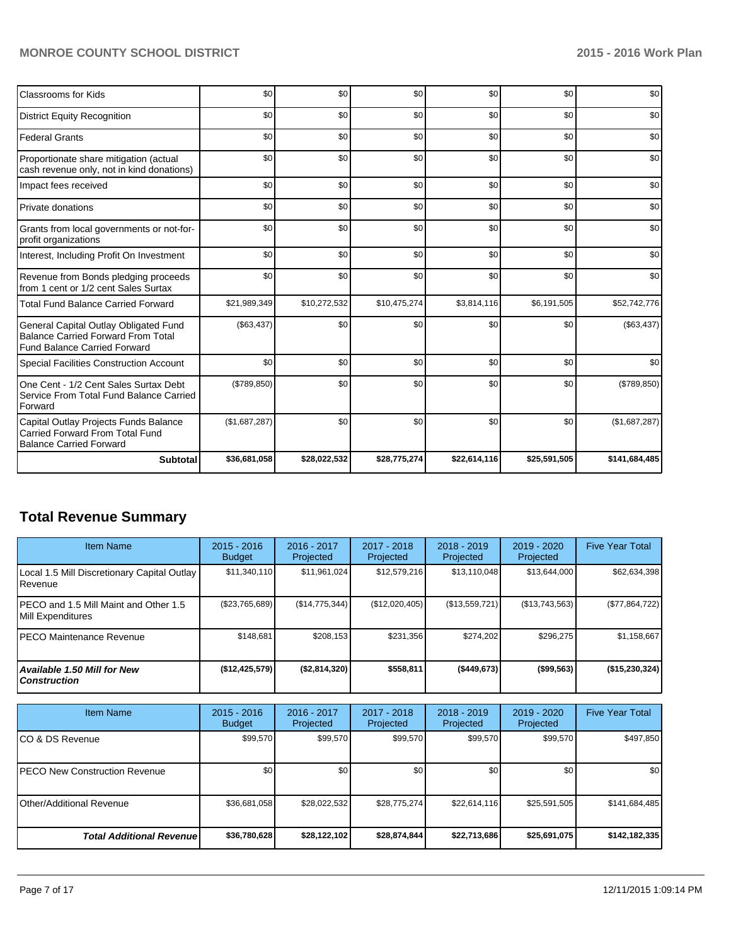## **MONROE COUNTY SCHOOL DISTRICT 2015 - 2016 Work Plan**

| Classrooms for Kids                                                                                                       | \$0           | \$0          | \$0          | \$0          | \$0          | \$0           |
|---------------------------------------------------------------------------------------------------------------------------|---------------|--------------|--------------|--------------|--------------|---------------|
| <b>District Equity Recognition</b>                                                                                        | \$0           | \$0          | \$0          | \$0          | \$0          | \$0           |
| <b>Federal Grants</b>                                                                                                     | \$0           | \$0          | \$0          | \$0          | \$0          | \$0           |
| Proportionate share mitigation (actual<br>cash revenue only, not in kind donations)                                       | \$0           | \$0          | \$0          | \$0          | \$0          | \$0           |
| Impact fees received                                                                                                      | \$0           | \$0          | \$0          | \$0          | \$0          | \$0           |
| Private donations                                                                                                         | \$0           | \$0          | \$0          | \$0          | \$0          | \$0           |
| Grants from local governments or not-for-<br>profit organizations                                                         | \$0           | \$0          | \$0          | \$0          | \$0          | \$0           |
| Interest, Including Profit On Investment                                                                                  | \$0           | \$0          | \$0          | \$0          | \$0          | \$0           |
| Revenue from Bonds pledging proceeds<br>from 1 cent or 1/2 cent Sales Surtax                                              | \$0           | \$0          | \$0          | \$0          | \$0          | \$0           |
| <b>Total Fund Balance Carried Forward</b>                                                                                 | \$21,989,349  | \$10,272,532 | \$10,475,274 | \$3,814,116  | \$6,191,505  | \$52,742,776  |
| General Capital Outlay Obligated Fund<br><b>Balance Carried Forward From Total</b><br><b>Fund Balance Carried Forward</b> | (\$63,437)    | \$0          | \$0          | \$0          | \$0          | (\$63,437)    |
| <b>Special Facilities Construction Account</b>                                                                            | \$0           | \$0          | \$0          | \$0          | \$0          | \$0           |
| One Cent - 1/2 Cent Sales Surtax Debt<br>Service From Total Fund Balance Carried<br>Forward                               | (\$789, 850)  | \$0          | \$0          | \$0          | \$0          | (\$789, 850)  |
| Capital Outlay Projects Funds Balance<br>Carried Forward From Total Fund<br><b>Balance Carried Forward</b>                | (\$1,687,287) | \$0          | \$0          | \$0          | \$0          | (\$1,687,287) |
| <b>Subtotal</b>                                                                                                           | \$36,681,058  | \$28,022,532 | \$28,775,274 | \$22,614,116 | \$25,591,505 | \$141,684,485 |

## **Total Revenue Summary**

| <b>Item Name</b>                                                  | $2015 - 2016$<br><b>Budget</b> | 2016 - 2017<br>Projected | 2017 - 2018<br>Projected | $2018 - 2019$<br>Projected | $2019 - 2020$<br>Projected | <b>Five Year Total</b> |
|-------------------------------------------------------------------|--------------------------------|--------------------------|--------------------------|----------------------------|----------------------------|------------------------|
| Local 1.5 Mill Discretionary Capital Outlay  <br><b>I</b> Revenue | \$11,340,110                   | \$11,961,024             | \$12,579,216             | \$13,110,048               | \$13,644,000               | \$62,634,398           |
| IPECO and 1.5 Mill Maint and Other 1.5<br>Mill Expenditures       | $(\$23,765,689)$               | (S14, 775, 344)          | (\$12,020,405)           | (\$13,559,721)             | (S13,743,563)              | (\$77,864,722)         |
| IPECO Maintenance Revenue                                         | \$148,681                      | \$208,153                | \$231.356                | \$274.202                  | \$296.275                  | \$1,158,667            |
| Available 1.50 Mill for New l<br>l Construction                   | (\$12,425,579)                 | (\$2,814,320)            | \$558,811                | $($ \$449,673)             | ( \$99,563)                | (\$15,230,324)         |

| <b>Item Name</b>                      | $2015 - 2016$<br><b>Budget</b> | 2016 - 2017<br>Projected | 2017 - 2018<br>Projected | $2018 - 2019$<br>Projected | $2019 - 2020$<br>Projected | <b>Five Year Total</b> |
|---------------------------------------|--------------------------------|--------------------------|--------------------------|----------------------------|----------------------------|------------------------|
| ICO & DS Revenue                      | \$99,570                       | \$99,570                 | \$99,570                 | \$99,570                   | \$99,570                   | \$497,850              |
| <b>IPECO New Construction Revenue</b> | \$0                            | \$0                      | \$0                      | \$0                        | \$0                        | \$0 <sub>1</sub>       |
| <b>IOther/Additional Revenue</b>      | \$36,681,058                   | \$28,022,532             | \$28,775,274             | \$22,614,116               | \$25,591,505               | \$141,684,485          |
| <b>Total Additional Revenuel</b>      | \$36,780,628                   | \$28,122,102             | \$28,874,844             | \$22,713,686               | \$25,691,075               | \$142,182,335          |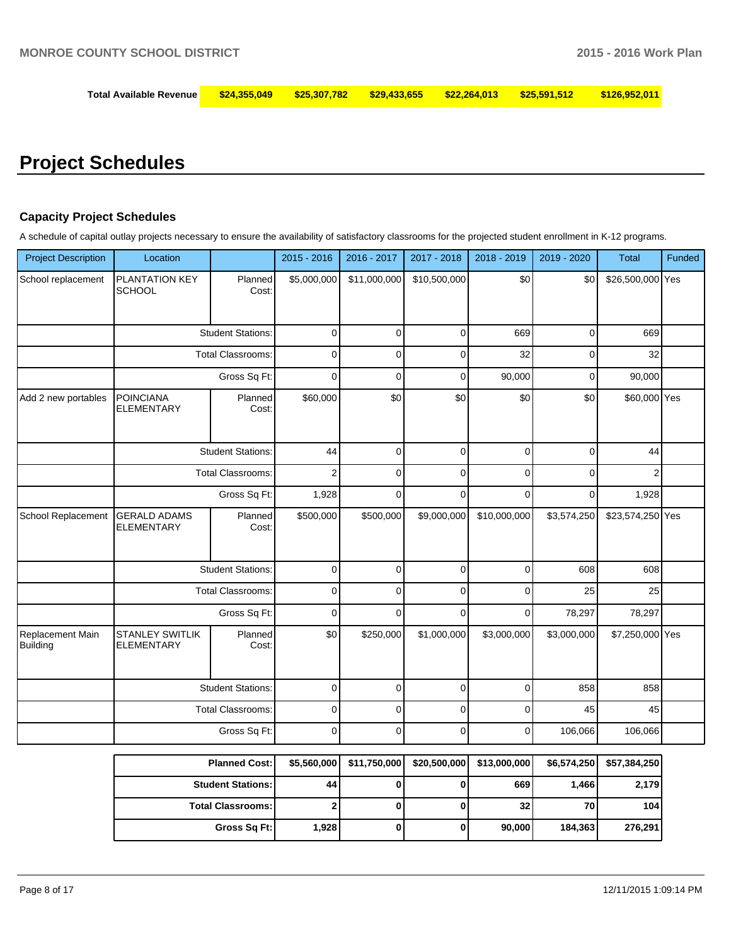## **Total Available Revenue \$24,355,049 \$25,307,782 \$29,433,655 \$22,264,013 \$25,591,512 \$126,952,011**

# **Project Schedules**

#### **Capacity Project Schedules**

A schedule of capital outlay projects necessary to ensure the availability of satisfactory classrooms for the projected student enrollment in K-12 programs.

| <b>Project Description</b>   | Location                                    |                          | 2015 - 2016    | 2016 - 2017    | 2017 - 2018  | 2018 - 2019  | 2019 - 2020 | <b>Total</b>     | Funded |
|------------------------------|---------------------------------------------|--------------------------|----------------|----------------|--------------|--------------|-------------|------------------|--------|
| School replacement           | PLANTATION KEY<br><b>SCHOOL</b>             | Planned<br>Cost:         | \$5,000,000    | \$11,000,000   | \$10,500,000 | \$0          | \$0         | \$26,500,000 Yes |        |
|                              |                                             | <b>Student Stations:</b> | $\mathbf 0$    | $\mathbf 0$    | $\mathbf 0$  | 669          | $\mathbf 0$ | 669              |        |
|                              | <b>Total Classrooms:</b>                    |                          | $\mathbf 0$    | $\mathbf 0$    | $\mathbf 0$  | 32           | $\mathbf 0$ | 32               |        |
|                              | Gross Sq Ft:                                |                          | $\pmb{0}$      | $\mathbf 0$    | $\pmb{0}$    | 90,000       | $\mathsf 0$ | 90,000           |        |
| Add 2 new portables          | <b>POINCIANA</b><br><b>ELEMENTARY</b>       | Planned<br>Cost:         | \$60,000       | \$0            | \$0          | \$0          | \$0         | \$60,000 Yes     |        |
|                              |                                             | <b>Student Stations:</b> | 44             | $\mathbf 0$    | $\mathbf 0$  | $\mathbf 0$  | $\mathbf 0$ | 44               |        |
|                              |                                             | <b>Total Classrooms:</b> | $\overline{2}$ | $\overline{0}$ | $\pmb{0}$    | $\mathbf 0$  | $\mathbf 0$ | $\overline{2}$   |        |
|                              | Gross Sq Ft:                                |                          | 1,928          | $\mathbf 0$    | $\mathbf 0$  | $\Omega$     | $\mathbf 0$ | 1,928            |        |
| School Replacement           | <b>GERALD ADAMS</b><br><b>ELEMENTARY</b>    | Planned<br>Cost:         | \$500,000      | \$500,000      | \$9,000,000  | \$10,000,000 | \$3,574,250 | \$23,574,250 Yes |        |
|                              |                                             | <b>Student Stations:</b> | $\pmb{0}$      | $\pmb{0}$      | $\mathbf 0$  | $\pmb{0}$    | 608         | 608              |        |
|                              |                                             | <b>Total Classrooms:</b> | $\mathbf 0$    | $\Omega$       | $\Omega$     | $\Omega$     | 25          | 25               |        |
|                              |                                             | Gross Sq Ft:             | $\mathbf 0$    | $\Omega$       | $\Omega$     | $\mathbf 0$  | 78,297      | 78,297           |        |
| Replacement Main<br>Building | <b>STANLEY SWITLIK</b><br><b>ELEMENTARY</b> | Planned<br>Cost:         | \$0            | \$250,000      | \$1,000,000  | \$3,000,000  | \$3,000,000 | \$7,250,000 Yes  |        |
|                              |                                             | <b>Student Stations:</b> | $\mathbf 0$    | $\mathbf 0$    | $\mathbf 0$  | $\mathbf 0$  | 858         | 858              |        |
|                              |                                             | <b>Total Classrooms:</b> | $\mathbf 0$    | $\Omega$       | $\mathbf 0$  | $\Omega$     | 45          | 45               |        |
|                              |                                             | Gross Sq Ft:             | $\mathbf 0$    | $\Omega$       | $\mathbf 0$  | $\mathbf 0$  | 106,066     | 106,066          |        |
|                              |                                             | <b>Planned Cost:</b>     | \$5,560,000    | \$11,750,000   | \$20,500,000 | \$13,000,000 | \$6,574,250 | \$57,384,250     |        |
|                              |                                             | <b>Student Stations:</b> | 44             | $\bf{0}$       | $\mathbf 0$  | 669          | 1,466       | 2,179            |        |

| <b>Planned Cost:1</b>      | \$5,560,0001 | \$11,750,000  \$20,500,000 | \$13,000,0001 |         | \$6,574,2501 \$57,384,2501 |
|----------------------------|--------------|----------------------------|---------------|---------|----------------------------|
| <b>Student Stations: I</b> | 44           |                            | 669           | 1.466   | 2,179                      |
| <b>Total Classrooms:</b>   |              |                            | 32            | 70      | 104                        |
| Gross Sq Ft:               | 1.928 l      |                            | 90,000        | 184.363 | 276.291                    |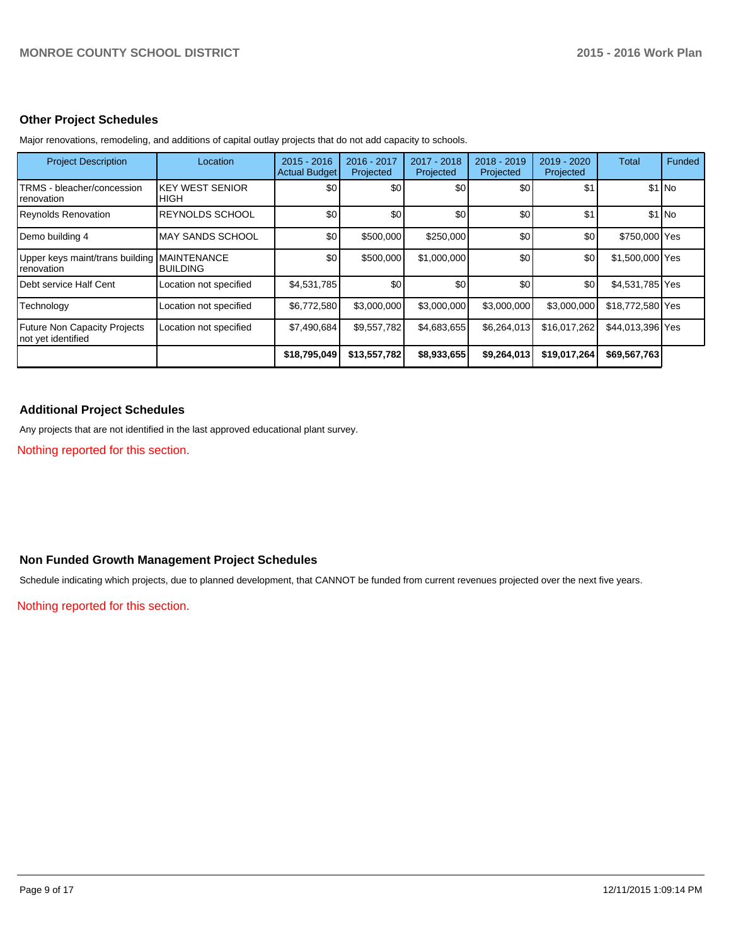#### **Other Project Schedules**

| <b>Project Description</b>                                | Location                       | $2015 - 2016$<br><b>Actual Budget</b> | 2016 - 2017<br>Projected | 2017 - 2018<br>Projected | 2018 - 2019<br>Projected | 2019 - 2020<br>Projected | Total            | Funded  |
|-----------------------------------------------------------|--------------------------------|---------------------------------------|--------------------------|--------------------------|--------------------------|--------------------------|------------------|---------|
| TRMS - bleacher/concession<br>renovation                  | <b>KEY WEST SENIOR</b><br>HIGH | \$0                                   | \$0 <sub>1</sub>         | \$0                      | \$0                      | \$1                      |                  | $$1$ No |
| <b>Reynolds Renovation</b>                                | <b>REYNOLDS SCHOOL</b>         | \$0                                   | \$0                      | \$0                      | \$0                      | \$1                      |                  | $$1$ No |
| Demo building 4                                           | <b>MAY SANDS SCHOOL</b>        | \$0                                   | \$500,000                | \$250,000                | \$0                      | \$0                      | \$750,000 Yes    |         |
| Upper keys maint/trans building MAINTENANCE<br>renovation | <b>BUILDING</b>                | \$0                                   | \$500,000                | \$1,000,000              | \$0                      | \$0                      | \$1,500,000 Yes  |         |
| Debt service Half Cent                                    | Location not specified         | \$4,531,785                           | \$0                      | \$0                      | \$0                      | \$0 <sub>1</sub>         | \$4,531,785 Yes  |         |
| Technology                                                | Location not specified         | \$6,772,580                           | \$3,000,000              | \$3,000,000              | \$3,000,000              | \$3,000,000              | \$18,772,580 Yes |         |
| <b>Future Non Capacity Projects</b><br>not yet identified | Location not specified         | \$7,490,684                           | \$9,557,782              | \$4,683,655              | \$6,264,013              | \$16.017.262             | \$44,013,396 Yes |         |
|                                                           |                                | \$18,795,049                          | \$13,557,782             | \$8,933,655              | \$9,264,013              | \$19,017,264             | \$69,567,763     |         |

Major renovations, remodeling, and additions of capital outlay projects that do not add capacity to schools.

### **Additional Project Schedules**

Any projects that are not identified in the last approved educational plant survey.

Nothing reported for this section.

#### **Non Funded Growth Management Project Schedules**

Schedule indicating which projects, due to planned development, that CANNOT be funded from current revenues projected over the next five years.

Nothing reported for this section.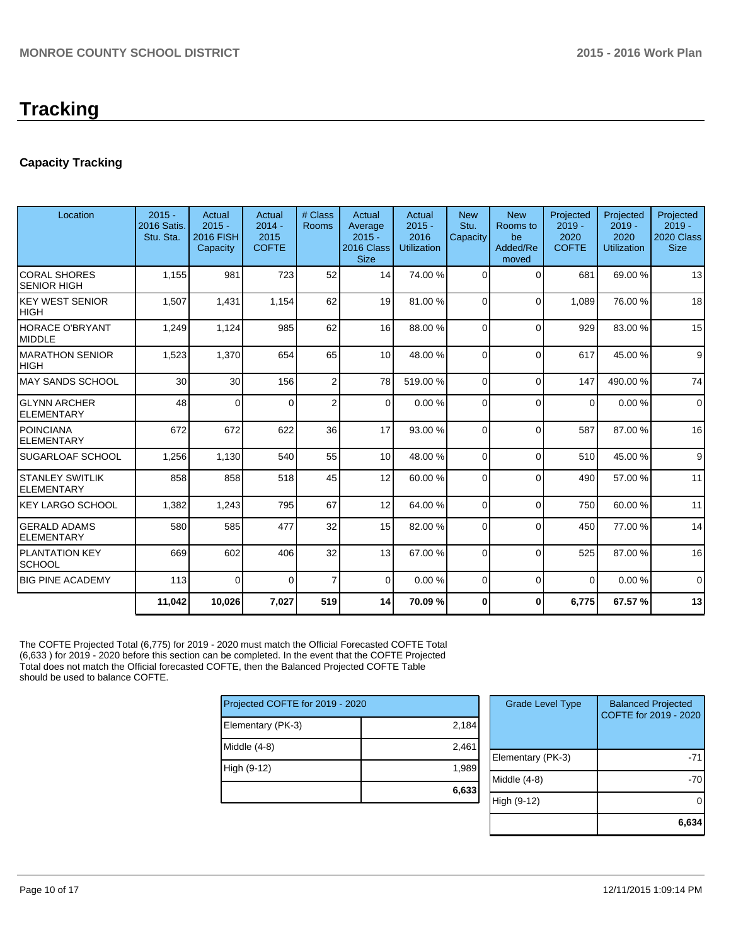# **Tracking**

## **Capacity Tracking**

| Location                                    | $2015 -$<br>2016 Satis.<br>Stu. Sta. | Actual<br>$2015 -$<br><b>2016 FISH</b><br>Capacity | Actual<br>$2014 -$<br>2015<br><b>COFTE</b> | # Class<br><b>Rooms</b> | Actual<br>Average<br>$2015 -$<br>2016 Class<br><b>Size</b> | Actual<br>$2015 -$<br>2016<br><b>Utilization</b> | <b>New</b><br>Stu.<br>Capacity | <b>New</b><br>Rooms to<br>be<br>Added/Re<br>moved | Projected<br>$2019 -$<br>2020<br><b>COFTE</b> | Projected<br>$2019 -$<br>2020<br><b>Utilization</b> | Projected<br>$2019 -$<br>2020 Class<br><b>Size</b> |
|---------------------------------------------|--------------------------------------|----------------------------------------------------|--------------------------------------------|-------------------------|------------------------------------------------------------|--------------------------------------------------|--------------------------------|---------------------------------------------------|-----------------------------------------------|-----------------------------------------------------|----------------------------------------------------|
| <b>CORAL SHORES</b><br><b>SENIOR HIGH</b>   | 1,155                                | 981                                                | 723                                        | 52                      | 14                                                         | 74.00 %                                          | $\Omega$                       | $\Omega$                                          | 681                                           | 69.00%                                              | 13                                                 |
| <b>KEY WEST SENIOR</b><br><b>HIGH</b>       | 1,507                                | 1,431                                              | 1,154                                      | 62                      | 19                                                         | 81.00 %                                          | $\Omega$                       | $\Omega$                                          | 1,089                                         | 76.00 %                                             | 18                                                 |
| <b>HORACE O'BRYANT</b><br><b>MIDDLE</b>     | 1,249                                | 1,124                                              | 985                                        | 62                      | 16 <sup>1</sup>                                            | 88.00 %                                          | $\Omega$                       | $\Omega$                                          | 929                                           | 83.00 %                                             | 15                                                 |
| <b>MARATHON SENIOR</b><br><b>HIGH</b>       | 1,523                                | 1,370                                              | 654                                        | 65                      | 10 <sup>1</sup>                                            | 48.00 %                                          | $\Omega$                       | $\Omega$                                          | 617                                           | 45.00 %                                             | 9                                                  |
| <b>MAY SANDS SCHOOL</b>                     | 30                                   | 30                                                 | 156                                        | $\overline{2}$          | 78                                                         | 519.00 %                                         | $\Omega$                       | $\Omega$                                          | 147                                           | 490.00%                                             | 74                                                 |
| <b>GLYNN ARCHER</b><br><b>ELEMENTARY</b>    | 48                                   | $\Omega$                                           | $\Omega$                                   | $\overline{2}$          | $\Omega$                                                   | 0.00%                                            | $\Omega$                       | $\Omega$                                          | $\Omega$                                      | 0.00%                                               | $\Omega$                                           |
| <b>POINCIANA</b><br><b>ELEMENTARY</b>       | 672                                  | 672                                                | 622                                        | 36                      | 17                                                         | 93.00 %                                          | $\Omega$                       | $\Omega$                                          | 587                                           | 87.00 %                                             | 16                                                 |
| SUGARLOAF SCHOOL                            | 1,256                                | 1,130                                              | 540                                        | 55                      | 10 <sup>1</sup>                                            | 48.00 %                                          | $\Omega$                       | $\Omega$                                          | 510                                           | 45.00 %                                             | 9                                                  |
| <b>STANLEY SWITLIK</b><br><b>ELEMENTARY</b> | 858                                  | 858                                                | 518                                        | 45                      | 12                                                         | 60.00 %                                          | $\Omega$                       | $\Omega$                                          | 490                                           | 57.00 %                                             | 11                                                 |
| KEY LARGO SCHOOL                            | 1,382                                | 1,243                                              | 795                                        | 67                      | 12                                                         | 64.00 %                                          | $\Omega$                       | $\mathbf{0}$                                      | 750                                           | 60.00%                                              | 11                                                 |
| <b>GERALD ADAMS</b><br><b>ELEMENTARY</b>    | 580                                  | 585                                                | 477                                        | 32                      | 15                                                         | 82.00 %                                          | $\Omega$                       | $\Omega$                                          | 450                                           | 77.00 %                                             | 14                                                 |
| PLANTATION KEY<br><b>SCHOOL</b>             | 669                                  | 602                                                | 406                                        | 32                      | 13                                                         | 67.00 %                                          | $\Omega$                       | $\Omega$                                          | 525                                           | 87.00 %                                             | 16                                                 |
| <b>BIG PINE ACADEMY</b>                     | 113                                  | $\Omega$                                           | $\Omega$                                   | $\overline{7}$          | $\overline{0}$                                             | 0.00%                                            | $\Omega$                       | $\Omega$                                          | $\overline{0}$                                | 0.00%                                               | $\Omega$                                           |
|                                             | 11,042                               | 10,026                                             | 7,027                                      | 519                     | 14                                                         | 70.09%                                           | $\bf{0}$                       | $\bf{0}$                                          | 6,775                                         | 67.57%                                              | 13                                                 |

The COFTE Projected Total (6,775) for 2019 - 2020 must match the Official Forecasted COFTE Total (6,633 ) for 2019 - 2020 before this section can be completed. In the event that the COFTE Projected Total does not match the Official forecasted COFTE, then the Balanced Projected COFTE Table should be used to balance COFTE.

| Projected COFTE for 2019 - 2020 |       |  |  |  |  |
|---------------------------------|-------|--|--|--|--|
| Elementary (PK-3)               | 2,184 |  |  |  |  |
| Middle $(4-8)$                  | 2,461 |  |  |  |  |
| High (9-12)                     | 1,989 |  |  |  |  |
|                                 | 6,633 |  |  |  |  |

| <b>Grade Level Type</b> | <b>Balanced Projected</b><br>COFTE for 2019 - 2020 |
|-------------------------|----------------------------------------------------|
| Elementary (PK-3)       | -71                                                |
| Middle $(4-8)$          |                                                    |
| High (9-12)             |                                                    |
|                         | 6.63                                               |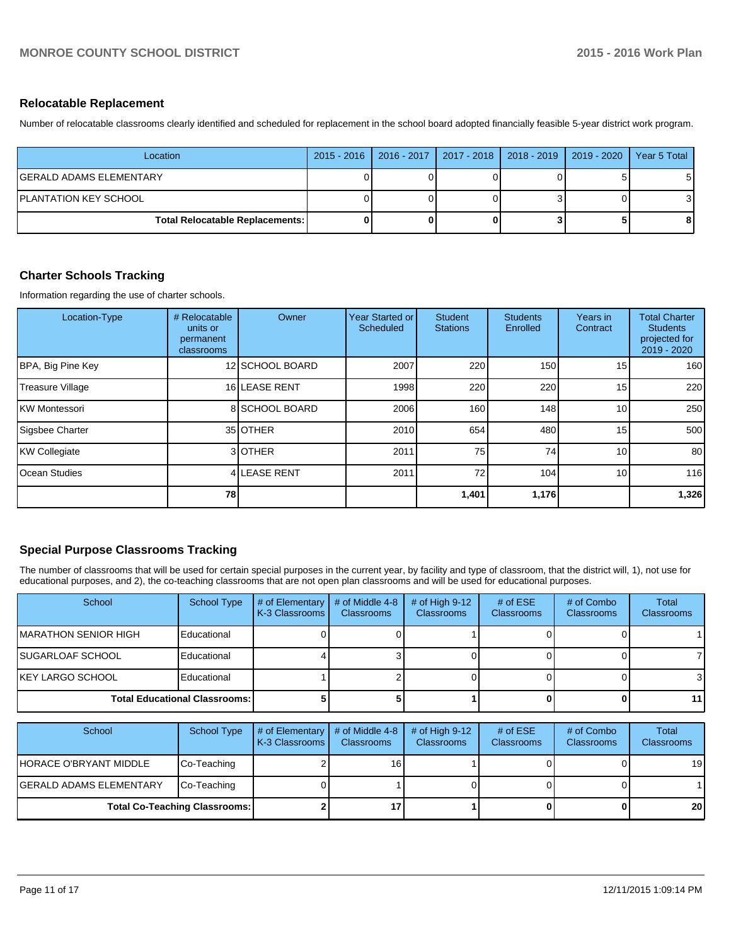#### **Relocatable Replacement**

Number of relocatable classrooms clearly identified and scheduled for replacement in the school board adopted financially feasible 5-year district work program.

| Location                               |  | 2015 - 2016   2016 - 2017   2017 - 2018   2018 - 2019   2019 - 2020 | Year 5 Total |
|----------------------------------------|--|---------------------------------------------------------------------|--------------|
| IGERALD ADAMS ELEMENTARY               |  |                                                                     |              |
| IPLANTATION KEY SCHOOL                 |  |                                                                     |              |
| <b>Total Relocatable Replacements:</b> |  |                                                                     | 8            |

#### **Charter Schools Tracking**

Information regarding the use of charter schools.

| Location-Type         | # Relocatable<br>units or<br>permanent<br>classrooms | Owner           | Year Started or<br>Scheduled | <b>Student</b><br><b>Stations</b> | <b>Students</b><br>Enrolled | Years in<br>Contract | <b>Total Charter</b><br><b>Students</b><br>projected for<br>2019 - 2020 |
|-----------------------|------------------------------------------------------|-----------------|------------------------------|-----------------------------------|-----------------------------|----------------------|-------------------------------------------------------------------------|
| BPA, Big Pine Key     |                                                      | 12 SCHOOL BOARD | 2007                         | 220                               | 150                         | 15 <sub>1</sub>      | 160                                                                     |
| Treasure Village      |                                                      | 16 LEASE RENT   | 1998                         | 220                               | 220                         | 15 <sub>1</sub>      | 220                                                                     |
| <b>KW Montessori</b>  |                                                      | 8 SCHOOL BOARD  | 2006                         | 160                               | 148                         | 10 <sup>1</sup>      | 250                                                                     |
| Sigsbee Charter       |                                                      | 35 OTHER        | 2010                         | 654                               | 480                         | 15 <sup>1</sup>      | 500                                                                     |
| KW Collegiate         |                                                      | 3 OTHER         | 2011                         | 75                                | 74                          | 10 <sup>1</sup>      | 80                                                                      |
| <b>IOcean Studies</b> |                                                      | 4 LEASE RENT    | 2011                         | 72                                | 104                         | 10 <sup>1</sup>      | 116                                                                     |
|                       | 78                                                   |                 |                              | 1,401                             | 1,176                       |                      | 1,326                                                                   |

#### **Special Purpose Classrooms Tracking**

The number of classrooms that will be used for certain special purposes in the current year, by facility and type of classroom, that the district will, 1), not use for educational purposes, and 2), the co-teaching classrooms that are not open plan classrooms and will be used for educational purposes.

| School                                 | School Type | # of Elementary $\vert$<br>K-3 Classrooms I | # of Middle 4-8<br><b>Classrooms</b> | # of High $9-12$<br><b>Classrooms</b> | # of $ESE$<br><b>Classrooms</b> | # of Combo<br><b>Classrooms</b> | Total<br><b>Classrooms</b> |
|----------------------------------------|-------------|---------------------------------------------|--------------------------------------|---------------------------------------|---------------------------------|---------------------------------|----------------------------|
| IMARATHON SENIOR HIGH                  | Educational |                                             |                                      |                                       |                                 |                                 |                            |
| ISUGARLOAF SCHOOL                      | Educational |                                             |                                      |                                       |                                 |                                 |                            |
| IKEY LARGO SCHOOL                      | Educational |                                             |                                      |                                       |                                 |                                 | 3                          |
| <b>Total Educational Classrooms: I</b> |             |                                             |                                      |                                       |                                 |                                 | 11                         |

| School                               | School Type | $#$ of Elementary<br>K-3 Classrooms I | # of Middle 4-8<br><b>Classrooms</b> | # of High $9-12$<br><b>Classrooms</b> | # of $ESE$<br><b>Classrooms</b> | # of Combo<br><b>Classrooms</b> | Total<br><b>Classrooms</b> |
|--------------------------------------|-------------|---------------------------------------|--------------------------------------|---------------------------------------|---------------------------------|---------------------------------|----------------------------|
| HORACE O'BRYANT MIDDLE               | Co-Teaching |                                       | 16                                   |                                       |                                 |                                 | 19 <sup>1</sup>            |
| lGERALD ADAMS ELEMENTARY             | Co-Teaching |                                       |                                      |                                       |                                 |                                 |                            |
| <b>Total Co-Teaching Classrooms:</b> |             |                                       |                                      |                                       |                                 | 0                               | 20 <sub>1</sub>            |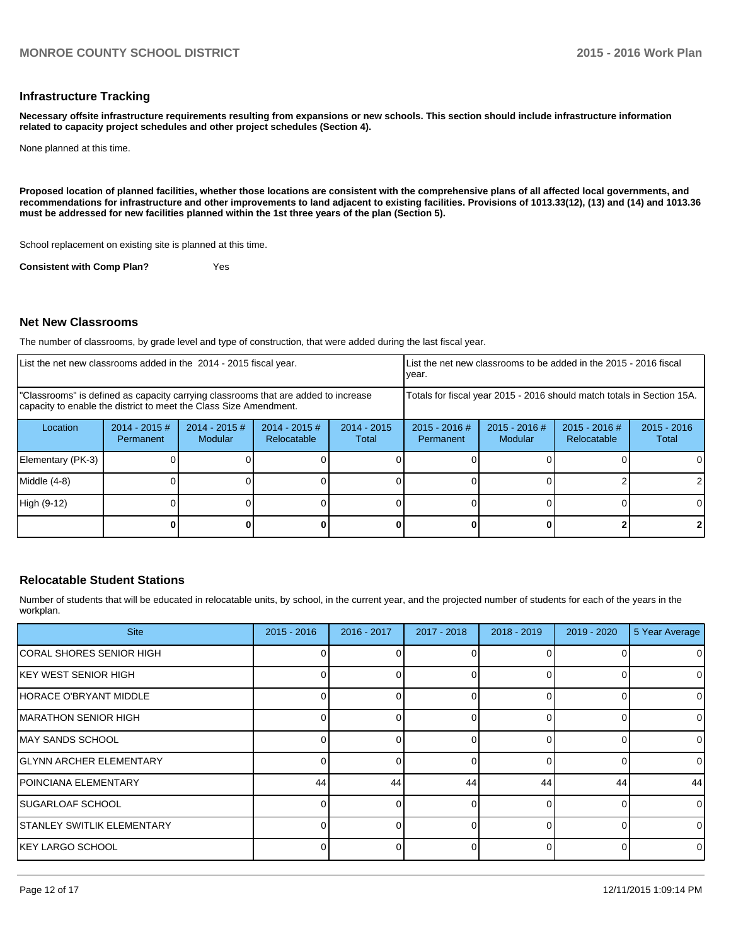#### **Infrastructure Tracking**

**Necessary offsite infrastructure requirements resulting from expansions or new schools. This section should include infrastructure information related to capacity project schedules and other project schedules (Section 4).**

None planned at this time.

**Proposed location of planned facilities, whether those locations are consistent with the comprehensive plans of all affected local governments, and recommendations for infrastructure and other improvements to land adjacent to existing facilities. Provisions of 1013.33(12), (13) and (14) and 1013.36 must be addressed for new facilities planned within the 1st three years of the plan (Section 5).**

School replacement on existing site is planned at this time.

**Consistent with Comp Plan?** Yes

#### **Net New Classrooms**

The number of classrooms, by grade level and type of construction, that were added during the last fiscal year.

| List the net new classrooms added in the 2014 - 2015 fiscal year.                                                                                       |                               |                                   |                                |                        | List the net new classrooms to be added in the 2015 - 2016 fiscal<br>Ivear. |                            |                                |                        |
|---------------------------------------------------------------------------------------------------------------------------------------------------------|-------------------------------|-----------------------------------|--------------------------------|------------------------|-----------------------------------------------------------------------------|----------------------------|--------------------------------|------------------------|
| "Classrooms" is defined as capacity carrying classrooms that are added to increase<br>capacity to enable the district to meet the Class Size Amendment. |                               |                                   |                                |                        | Totals for fiscal year 2015 - 2016 should match totals in Section 15A.      |                            |                                |                        |
| Location                                                                                                                                                | $2014 - 2015 \#$<br>Permanent | $2014 - 2015$ #<br><b>Modular</b> | $2014 - 2015$ #<br>Relocatable | $2014 - 2015$<br>Total | $2015 - 2016$ #<br>Permanent                                                | $2015 - 2016$ #<br>Modular | $2015 - 2016$ #<br>Relocatable | $2015 - 2016$<br>Total |
| Elementary (PK-3)                                                                                                                                       |                               |                                   |                                |                        |                                                                             |                            |                                |                        |
| Middle (4-8)                                                                                                                                            |                               |                                   |                                |                        |                                                                             |                            |                                |                        |
| High (9-12)                                                                                                                                             |                               |                                   |                                |                        |                                                                             |                            |                                | ΩI                     |
|                                                                                                                                                         |                               |                                   |                                |                        |                                                                             |                            |                                |                        |

#### **Relocatable Student Stations**

Number of students that will be educated in relocatable units, by school, in the current year, and the projected number of students for each of the years in the workplan.

| <b>Site</b>                    | $2015 - 2016$ | 2016 - 2017 | 2017 - 2018 | 2018 - 2019 | 2019 - 2020 | 5 Year Average |
|--------------------------------|---------------|-------------|-------------|-------------|-------------|----------------|
| ICORAL SHORES SENIOR HIGH      |               |             |             |             |             | 0              |
| <b>KEY WEST SENIOR HIGH</b>    |               |             |             |             |             | 0              |
| HORACE O'BRYANT MIDDLE         |               |             |             |             | 0           | 0              |
| IMARATHON SENIOR HIGH          |               |             |             |             |             | $\mathbf 0$    |
| IMAY SANDS SCHOOL              |               |             |             |             | $\Omega$    | $\mathbf 0$    |
| <b>GLYNN ARCHER ELEMENTARY</b> |               |             |             |             | 0           | $\mathbf 0$    |
| IPOINCIANA ELEMENTARY          | 44            | 44          | 44          | 44          | 44          | 44             |
| ISUGARLOAF SCHOOL              |               |             |             |             |             | $\mathbf 0$    |
| ISTANLEY SWITLIK ELEMENTARY    |               |             |             |             | ∩           | $\mathbf 0$    |
| <b>IKEY LARGO SCHOOL</b>       |               |             |             |             | $\Omega$    | 0              |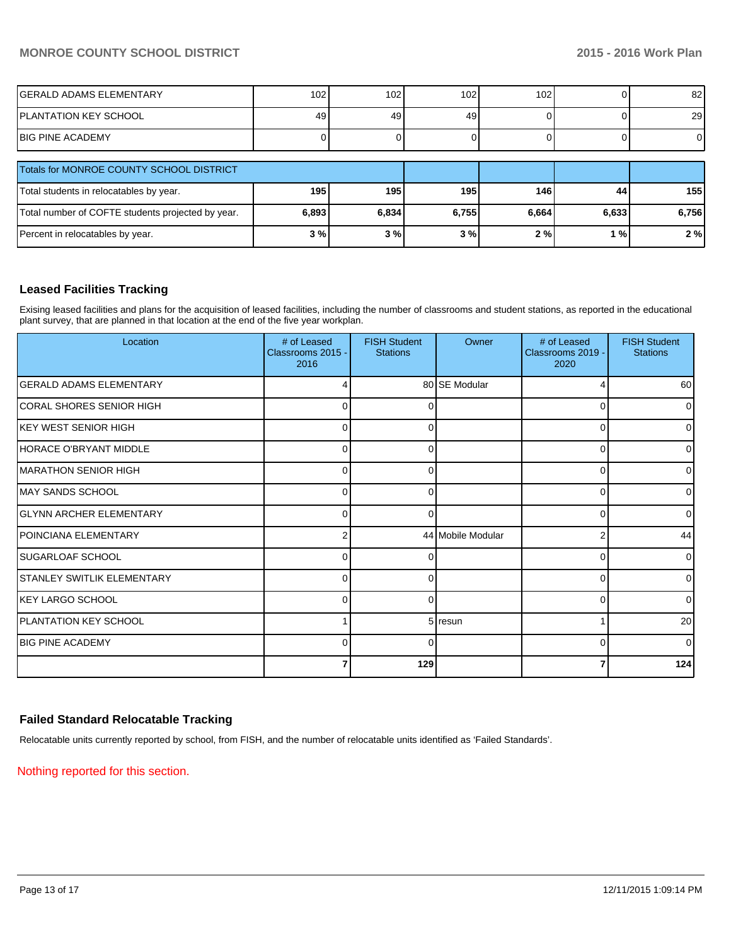## **MONROE COUNTY SCHOOL DISTRICT 2015 - 2016 Work Plan**

| IGERALD ADAMS ELEMENTARY                          | 102   | 102   | 102 <sub>1</sub> | 102   |       | 82I       |
|---------------------------------------------------|-------|-------|------------------|-------|-------|-----------|
| <b>PLANTATION KEY SCHOOL</b>                      | 49    | 49    | 49               |       |       | <b>29</b> |
| <b>IBIG PINE ACADEMY</b>                          |       |       |                  |       |       | 01        |
| Totals for MONROE COUNTY SCHOOL DISTRICT          |       |       |                  |       |       |           |
| Total students in relocatables by year.           | 195   | 195   | 195              | 146   | 44    | 155 l     |
| Total number of COFTE students projected by year. | 6,893 | 6,834 | 6,755            | 6,664 | 6,633 | 6,756     |
| Percent in relocatables by year.                  | 3%    | 3%    | 3%               | 2%    | 1 % l | 2%        |

#### **Leased Facilities Tracking**

Exising leased facilities and plans for the acquisition of leased facilities, including the number of classrooms and student stations, as reported in the educational plant survey, that are planned in that location at the end of the five year workplan.

| Location                          | # of Leased<br>Classrooms 2015 -<br>2016 | <b>FISH Student</b><br><b>Stations</b> | Owner             | # of Leased<br>Classrooms 2019 -<br>2020 | <b>FISH Student</b><br><b>Stations</b> |
|-----------------------------------|------------------------------------------|----------------------------------------|-------------------|------------------------------------------|----------------------------------------|
| GERALD ADAMS ELEMENTARY           |                                          |                                        | 80 SE Modular     |                                          | 60                                     |
| CORAL SHORES SENIOR HIGH          | 0                                        | 0                                      |                   | 0                                        | $\overline{0}$                         |
| IKEY WEST SENIOR HIGH             | $\Omega$                                 | <sup>0</sup>                           |                   | 0                                        | $\overline{0}$                         |
| HORACE O'BRYANT MIDDLE            | U                                        |                                        |                   | 0                                        | ٥I                                     |
| <b>IMARATHON SENIOR HIGH</b>      | 0                                        | 0                                      |                   | 0                                        | $\overline{0}$                         |
| IMAY SANDS SCHOOL                 | $\Omega$                                 | <sup>0</sup>                           |                   | $\Omega$                                 | $\overline{0}$                         |
| <b>GLYNN ARCHER ELEMENTARY</b>    | U                                        |                                        |                   | 0                                        | 0                                      |
| POINCIANA ELEMENTARY              | 2                                        |                                        | 44 Mobile Modular | 2                                        | 44                                     |
| ISUGARLOAF SCHOOL                 | $\Omega$                                 | O                                      |                   | $\Omega$                                 | $\overline{0}$                         |
| <b>STANLEY SWITLIK ELEMENTARY</b> | U                                        |                                        |                   | O                                        | ٥I                                     |
| KEY LARGO SCHOOL                  | 0                                        | 0                                      |                   | 0                                        | $\overline{0}$                         |
| <b>IPLANTATION KEY SCHOOL</b>     |                                          |                                        | 5 resun           |                                          | 20                                     |
| <b>BIG PINE ACADEMY</b>           | U                                        | ∩                                      |                   | O                                        | $\overline{0}$                         |
|                                   |                                          | 129                                    |                   |                                          | 124                                    |

#### **Failed Standard Relocatable Tracking**

Relocatable units currently reported by school, from FISH, and the number of relocatable units identified as 'Failed Standards'.

Nothing reported for this section.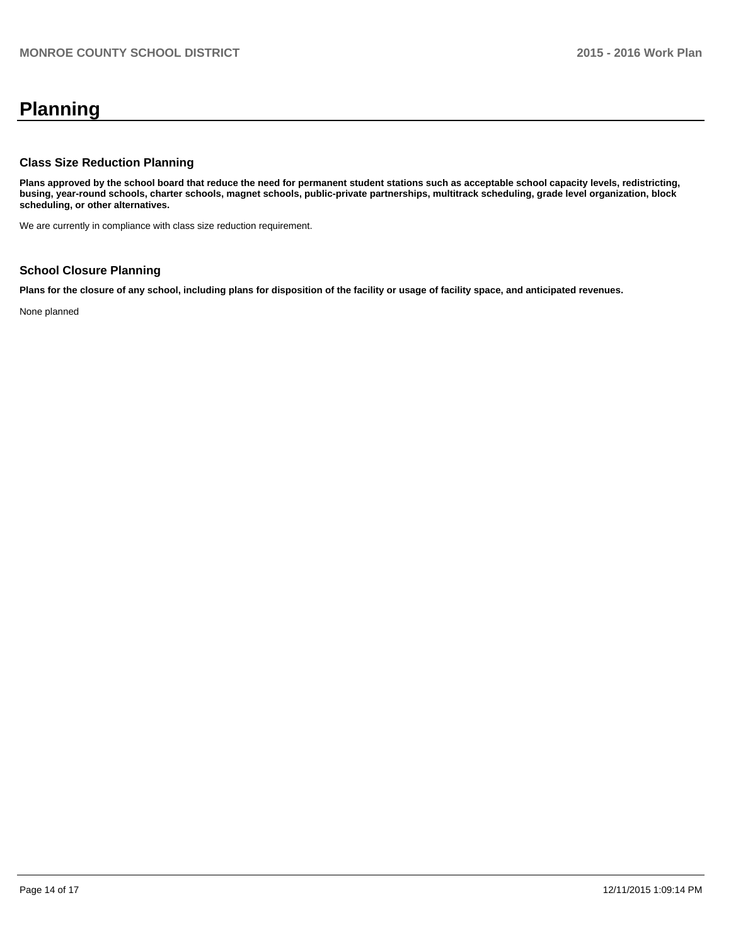# **Planning**

#### **Class Size Reduction Planning**

**Plans approved by the school board that reduce the need for permanent student stations such as acceptable school capacity levels, redistricting, busing, year-round schools, charter schools, magnet schools, public-private partnerships, multitrack scheduling, grade level organization, block scheduling, or other alternatives.**

We are currently in compliance with class size reduction requirement.

### **School Closure Planning**

**Plans for the closure of any school, including plans for disposition of the facility or usage of facility space, and anticipated revenues.**

None planned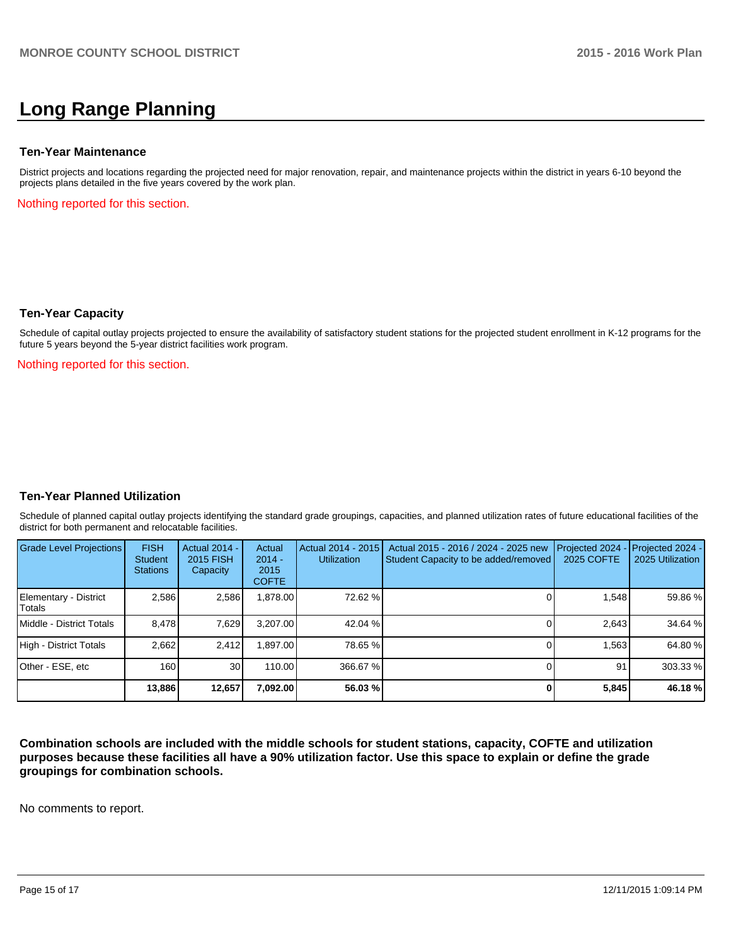# **Long Range Planning**

#### **Ten-Year Maintenance**

District projects and locations regarding the projected need for major renovation, repair, and maintenance projects within the district in years 6-10 beyond the projects plans detailed in the five years covered by the work plan.

Nothing reported for this section.

#### **Ten-Year Capacity**

Schedule of capital outlay projects projected to ensure the availability of satisfactory student stations for the projected student enrollment in K-12 programs for the future 5 years beyond the 5-year district facilities work program.

Nothing reported for this section.

#### **Ten-Year Planned Utilization**

Schedule of planned capital outlay projects identifying the standard grade groupings, capacities, and planned utilization rates of future educational facilities of the district for both permanent and relocatable facilities.

| <b>Grade Level Projections</b>  | <b>FISH</b><br>Student<br><b>Stations</b> | Actual 2014 -<br>2015 FISH<br>Capacity | Actual<br>$2014 -$<br>2015<br><b>COFTE</b> | Actual 2014 - 2015<br><b>Utilization</b> | Actual 2015 - 2016 / 2024 - 2025 new<br>Student Capacity to be added/removed | Projected 2024<br>2025 COFTE | $-$ Projected 2024 -<br>2025 Utilization |
|---------------------------------|-------------------------------------------|----------------------------------------|--------------------------------------------|------------------------------------------|------------------------------------------------------------------------------|------------------------------|------------------------------------------|
| Elementary - District<br>Totals | 2.586                                     | 2,586                                  | ,878.00                                    | 72.62 %                                  |                                                                              | 1.548                        | 59.86 %                                  |
| Middle - District Totals        | 8.478                                     | 7,629                                  | 3.207.00                                   | 42.04 %                                  |                                                                              | 2.643                        | 34.64 %                                  |
| High - District Totals          | 2.662                                     | 2.412                                  | .897.00                                    | 78.65 %                                  |                                                                              | 1.563                        | 64.80%                                   |
| Other - ESE, etc                | 160                                       | 30 <sup>1</sup>                        | 110.00                                     | 366.67 %                                 |                                                                              | 91                           | 303.33 %                                 |
|                                 | 13,886                                    | 12.657                                 | 7,092.00                                   | 56.03 %                                  |                                                                              | 5,845                        | 46.18%                                   |

**Combination schools are included with the middle schools for student stations, capacity, COFTE and utilization purposes because these facilities all have a 90% utilization factor. Use this space to explain or define the grade groupings for combination schools.**

No comments to report.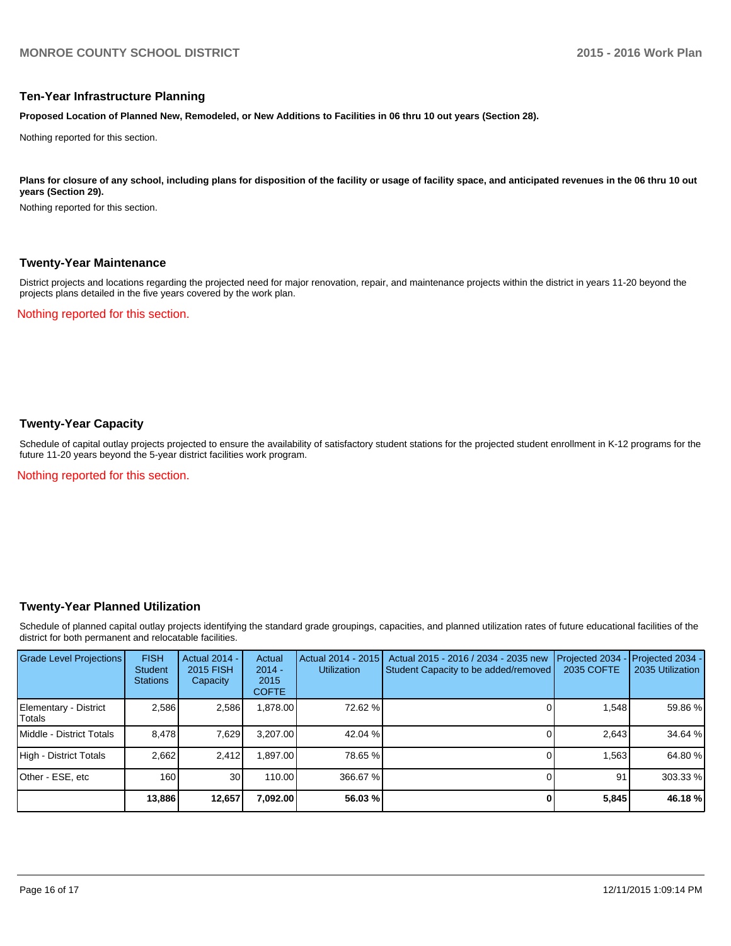#### **Ten-Year Infrastructure Planning**

**Proposed Location of Planned New, Remodeled, or New Additions to Facilities in 06 thru 10 out years (Section 28).**

Nothing reported for this section.

Plans for closure of any school, including plans for disposition of the facility or usage of facility space, and anticipated revenues in the 06 thru 10 out **years (Section 29).**

Nothing reported for this section.

#### **Twenty-Year Maintenance**

District projects and locations regarding the projected need for major renovation, repair, and maintenance projects within the district in years 11-20 beyond the projects plans detailed in the five years covered by the work plan.

Nothing reported for this section.

#### **Twenty-Year Capacity**

Schedule of capital outlay projects projected to ensure the availability of satisfactory student stations for the projected student enrollment in K-12 programs for the future 11-20 years beyond the 5-year district facilities work program.

Nothing reported for this section.

#### **Twenty-Year Planned Utilization**

Schedule of planned capital outlay projects identifying the standard grade groupings, capacities, and planned utilization rates of future educational facilities of the district for both permanent and relocatable facilities.

| Grade Level Projections         | <b>FISH</b><br><b>Student</b><br><b>Stations</b> | <b>Actual 2014 -</b><br>2015 FISH<br>Capacity | Actual<br>$2014 -$<br>2015<br><b>COFTE</b> | Actual 2014 - 2015<br><b>Utilization</b> | Actual 2015 - 2016 / 2034 - 2035 new<br>Student Capacity to be added/removed | Projected 2034<br>2035 COFTE | Projected 2034 -<br>2035 Utilization |
|---------------------------------|--------------------------------------------------|-----------------------------------------------|--------------------------------------------|------------------------------------------|------------------------------------------------------------------------------|------------------------------|--------------------------------------|
| Elementary - District<br>Totals | 2.586                                            | 2,586                                         | 878.00.                                    | 72.62 %                                  |                                                                              | 1,548                        | 59.86 %                              |
| Middle - District Totals        | 8.478                                            | 7,629                                         | 3.207.00                                   | $42.04\%$                                |                                                                              | 2,643                        | 34.64 %                              |
| High - District Totals          | 2.662                                            | 2.412                                         | .897.00                                    | 78.65 %                                  |                                                                              | 1.563                        | 64.80 %                              |
| Other - ESE, etc                | 160                                              | 30 <sub>1</sub>                               | 110.00                                     | 366.67 %                                 |                                                                              | 91                           | 303.33 %                             |
|                                 | 13,886                                           | 12,657                                        | 7,092.00                                   | 56.03 %                                  |                                                                              | 5,845                        | 46.18 %                              |